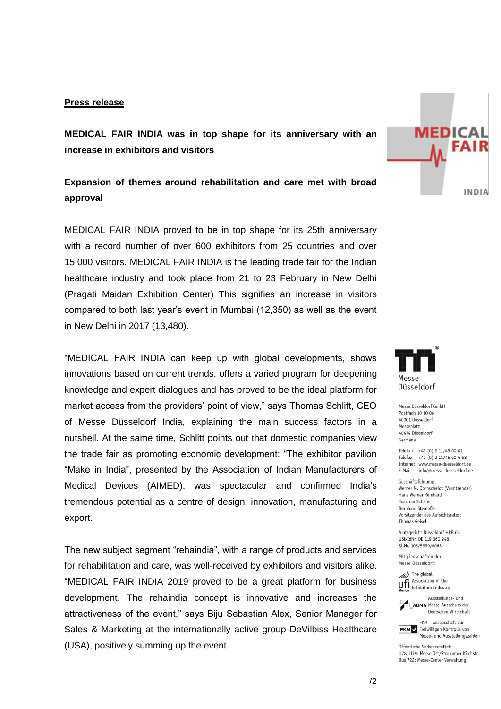## **Press release**

**MEDICAL FAIR INDIA was in top shape for its anniversary with an increase in exhibitors and visitors** 

## **Expansion of themes around rehabilitation and care met with broad approval**

MEDICAL FAIR INDIA proved to be in top shape for its 25th anniversary with a record number of over 600 exhibitors from 25 countries and over 15,000 visitors. MEDICAL FAIR INDIA is the leading trade fair for the Indian healthcare industry and took place from 21 to 23 February in New Delhi (Pragati Maidan Exhibition Center) This signifies an increase in visitors compared to both last year's event in Mumbai (12,350) as well as the event in New Delhi in 2017 (13,480).

"MEDICAL FAIR INDIA can keep up with global developments, shows innovations based on current trends, offers a varied program for deepening knowledge and expert dialogues and has proved to be the ideal platform for market access from the providers' point of view," says Thomas Schlitt, CEO of Messe Düsseldorf India, explaining the main success factors in a nutshell. At the same time, Schlitt points out that domestic companies view the trade fair as promoting economic development: "The exhibitor pavilion "Make in India", presented by the Association of Indian Manufacturers of Medical Devices (AIMED), was spectacular and confirmed India's tremendous potential as a centre of design, innovation, manufacturing and export.

The new subject segment "rehaindia", with a range of products and services for rehabilitation and care, was well-received by exhibitors and visitors alike. "MEDICAL FAIR INDIA 2019 proved to be a great platform for business development. The rehaindia concept is innovative and increases the attractiveness of the event," says Biju Sebastian Alex, Senior Manager for Sales & Marketing at the internationally active group DeVilbiss Healthcare (USA), positively summing up the event.



**MEDICAL** 

**FAIR** 

INDIA

Messe Düsseldorf GmbH Postfach 10 10 06 40001 Diisseldorf Messeplatz 40474 Düsseldorf Germany

Telefon +49 (0) 2 11/45 60-01 Telefax +49 (0) 2 11/45 60-6 68 Internet www.messe-duesseldorf.de E-Mail info@messe-duesseldorf.de

Geschäftsführung: Werner M. Dornscheidt (Vorsitzender) Hans Werner Reinhard Joachim Schäfer Bernhard Stempfle Vorsitzender des Aufsichtsrates: **Thomas Geisel** 

Amtsgericht Düsseldorf HRB 63 USt-IdNr. DE 119 360 948 St.Nr. 105/5830/0663

Mitaliedschaften der Messe Düsseldorf:

(b) The global **We give the group**<br>**U**nitial Exhibition Industry



Deutschen Wirtschaft FKM - Gesellschaft zur

**FKM** / Freiwilligen Kontrolle von Messe- und Ausstellungszahlen

Öffentliche Verkehrsmittel: 1178 1179: Messe Ost/Stockumer Kirchstr. Bus 722: Messe-Center Verwaltung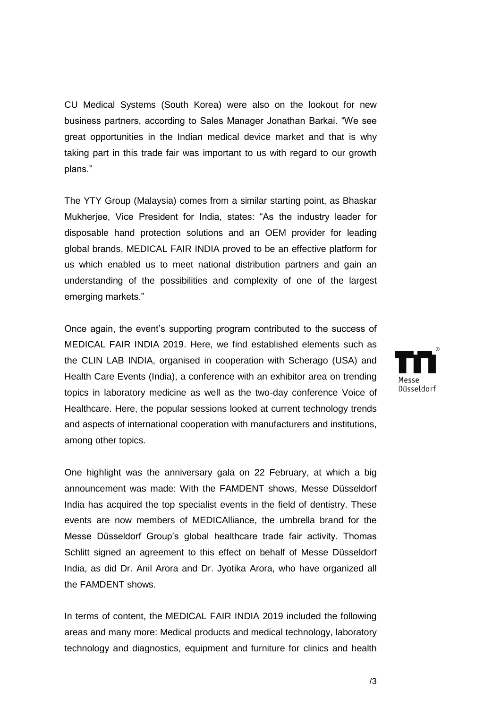CU Medical Systems (South Korea) were also on the lookout for new business partners, according to Sales Manager Jonathan Barkai. "We see great opportunities in the Indian medical device market and that is why taking part in this trade fair was important to us with regard to our growth plans."

The YTY Group (Malaysia) comes from a similar starting point, as Bhaskar Mukherjee, Vice President for India, states: "As the industry leader for disposable hand protection solutions and an OEM provider for leading global brands, MEDICAL FAIR INDIA proved to be an effective platform for us which enabled us to meet national distribution partners and gain an understanding of the possibilities and complexity of one of the largest emerging markets."

Once again, the event's supporting program contributed to the success of MEDICAL FAIR INDIA 2019. Here, we find established elements such as the CLIN LAB INDIA, organised in cooperation with Scherago (USA) and Health Care Events (India), a conference with an exhibitor area on trending topics in laboratory medicine as well as the two-day conference Voice of Healthcare. Here, the popular sessions looked at current technology trends and aspects of international cooperation with manufacturers and institutions, among other topics.

One highlight was the anniversary gala on 22 February, at which a big announcement was made: With the FAMDENT shows, Messe Düsseldorf India has acquired the top specialist events in the field of dentistry. These events are now members of MEDICAlliance, the umbrella brand for the Messe Düsseldorf Group's global healthcare trade fair activity. Thomas Schlitt signed an agreement to this effect on behalf of Messe Düsseldorf India, as did Dr. Anil Arora and Dr. Jyotika Arora, who have organized all the FAMDENT shows.

In terms of content, the MEDICAL FAIR INDIA 2019 included the following areas and many more: Medical products and medical technology, laboratory technology and diagnostics, equipment and furniture for clinics and health